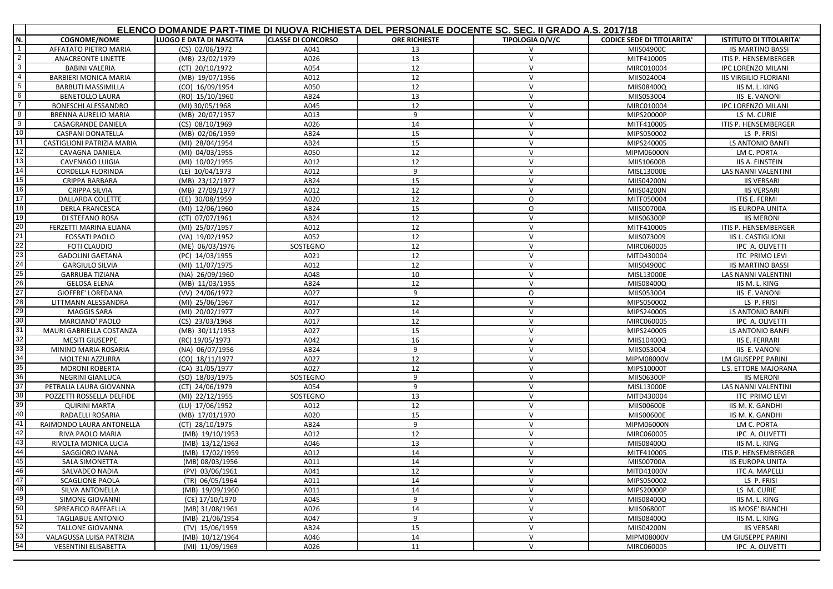|                 | ELENCO DOMANDE PART-TIME DI NUOVA RICHIESTA DEL PERSONALE DOCENTE SC. SEC. II GRADO A.S. 2017/18 |                         |                           |                      |                        |                                   |                                |
|-----------------|--------------------------------------------------------------------------------------------------|-------------------------|---------------------------|----------------------|------------------------|-----------------------------------|--------------------------------|
| N.              | <b>COGNOME/NOME</b>                                                                              | LUOGO E DATA DI NASCITA | <b>CLASSE DI CONCORSO</b> | <b>ORE RICHIESTE</b> | <b>TIPOLOGIA O/V/C</b> | <b>CODICE SEDE DI TITOLARITA'</b> | <b>ISTITUTO DI TITOLARITA'</b> |
| $\overline{1}$  | AFFATATO PIETRO MARIA                                                                            | (CS) 02/06/1972         | A041                      | 13                   | V                      | MIIS04900C                        | <b>IIS MARTINO BASSI</b>       |
| $\sim$          | ANACREONTE LINETTE                                                                               | (MB) 23/02/1979         | A026                      | 13                   | $\mathsf{V}$           | MITF410005                        | ITIS P. HENSEMBERGER           |
| $\mathbf{3}$    | <b>BABINI VALERIA</b>                                                                            | (CT) 20/10/1972         | A054                      | 12                   | $\vee$                 | MIRC010004                        | IPC LORENZO MILANI             |
| $\overline{4}$  | BARBIERI MONICA MARIA                                                                            | (MB) 19/07/1956         | A012                      | 12                   | $\vee$                 | MIIS024004                        | <b>IIS VIRGILIO FLORIANI</b>   |
| $5\overline{)}$ | <b>BARBUTI MASSIMILLA</b>                                                                        | (CO) 16/09/1954         | A050                      | 12                   | $\mathsf{V}$           | MIIS08400Q                        | IIS M. L. KING                 |
| $6\overline{6}$ | <b>BENETOLLO LAURA</b>                                                                           | (RO) 15/10/1960         | AB24                      | 13                   | V                      | MIIS053004                        | IIS E. VANONI                  |
| $\overline{7}$  | BONESCHI ALESSANDRO                                                                              | (MI) 30/05/1968         | A045                      | 12                   | $\vee$                 | MIRC010004                        | <b>IPC LORENZO MILANI</b>      |
| $\overline{8}$  | BRENNA AURELIO MARIA                                                                             | (MB) 20/07/1957         | A013                      | 9                    | $\vee$                 | MIPS20000P                        | LS M. CURIE                    |
| 9               | CASAGRANDE DANIELA                                                                               | (CS) 08/10/1969         | A026                      | 14                   | $\vee$                 | MITF410005                        | ITIS P. HENSEMBERGER           |
| 10              | <b>CASPANI DONATELLA</b>                                                                         | (MB) 02/06/1959         | AB24                      | 15                   | $\mathsf{V}$           | MIPS050002                        | LS P. FRISI                    |
| 11              | CASTIGLIONI PATRIZIA MARIA                                                                       | (MI) 28/04/1954         | AB24                      | 15                   | $\vee$                 | MIPS240005                        | LS ANTONIO BANFI               |
| 12              | <b>CAVAGNA DANIELA</b>                                                                           | (MI) 04/03/1955         | A050                      | 12                   | $\mathsf{V}$           | MIPM06000N                        | LM C. PORTA                    |
| 13              | CAVENAGO LUIGIA                                                                                  | (MI) 10/02/1955         | A012                      | 12                   | $\vee$                 | MIIS10600B                        | <b>IIS A. EINSTEIN</b>         |
| 14              | <b>CORDELLA FLORINDA</b>                                                                         | (LE) 10/04/1973         | A012                      | 9                    | $\mathsf{V}$           | MISL13000E                        | LAS NANNI VALENTINI            |
| 15              | CRIPPA BARBARA                                                                                   | (MB) 23/12/1977         | AB24                      | 15                   | $\vee$                 | MIIS04200N                        | <b>IIS VERSARI</b>             |
| 16              | <b>CRIPPA SILVIA</b>                                                                             | (MB) 27/09/1977         | A012                      | 12                   | $\vee$                 | MIIS04200N                        | <b>IIS VERSARI</b>             |
| 17              | DALLARDA COLETTE                                                                                 | (EE) 30/08/1959         | A020                      | 12                   | O                      | MITF050004                        | ITIS E. FERMI                  |
| 18              | <b>DERLA FRANCESCA</b>                                                                           | (MI) 12/06/1960         | AB24                      | 15                   | 0                      | MIIS00700A                        | <b>IIS EUROPA UNITA</b>        |
| 19              | DI STEFANO ROSA                                                                                  | (CT) 07/07/1961         | AB24                      | 12                   | $\mathsf{V}$           | MIIS06300P                        | <b>IIS MERONI</b>              |
| 20              | FERZETTI MARINA ELIANA                                                                           | (MI) 25/07/1957         | A012                      | 12                   | $\mathsf{V}$           | MITF410005                        | ITIS P. HENSEMBERGER           |
| 21              | <b>FOSSATI PAOLO</b>                                                                             | (VA) 19/02/1952         | A052                      | 12                   | V                      | MIIS073009                        | IIS L. CASTIGLIONI             |
| 22              | <b>FOTI CLAUDIO</b>                                                                              | (ME) 06/03/1976         | SOSTEGNO                  | 12                   | V                      | MIRC060005                        | IPC A. OLIVETTI                |
| 23              | <b>GADOLINI GAETANA</b>                                                                          | (PC) 14/03/1955         | A021                      | 12                   | $\vee$                 | MITD430004                        | <b>ITC PRIMO LEVI</b>          |
| 24              | <b>GARGIULO SILVIA</b>                                                                           | (MI) 11/07/1975         | A012                      | 12                   | $\mathsf{V}$           | MIIS04900C                        | <b>IIS MARTINO BASSI</b>       |
| 25              | <b>GARRUBA TIZIANA</b>                                                                           | (NA) 26/09/1960         | A048                      | 10                   | V                      | MISL13000E                        | LAS NANNI VALENTINI            |
| 26              | <b>GELOSA ELENA</b>                                                                              | (MB) 11/03/1955         | AB24                      | 12                   | $\vee$                 | MIIS08400Q                        | IIS M. L. KING                 |
| 27              | <b>GIOFFRE' LOREDANA</b>                                                                         | (VV) 24/06/1972         | A027                      | 9                    | O                      | MIIS053004                        | <b>IIS E. VANONI</b>           |
| 28              | LITTMANN ALESSANDRA                                                                              | (MI) 25/06/1967         | A017                      | 12                   | $\vee$                 | MIPS050002                        | LS P. FRISI                    |
| 29              | <b>MAGGIS SARA</b>                                                                               | (MI) 20/02/1977         | A027                      | 14                   | $\vee$                 | MIPS240005                        | LS ANTONIO BANFI               |
| 30              | <b>MARCIANO' PAOLO</b>                                                                           | (CS) 23/03/1968         | A017                      | 12                   | $\vee$                 | MIRC060005                        | IPC A. OLIVETTI                |
| 31              | MAURI GABRIELLA COSTANZA                                                                         | (MB) 30/11/1953         | A027                      | 15                   | $\mathsf{V}$           | MIPS240005                        | LS ANTONIO BANFI               |
| 32              | <b>MESITI GIUSEPPE</b>                                                                           | (RC) 19/05/1973         | A042                      | 16                   | $\vee$                 | MIIS10400Q                        | <b>IIS E. FERRARI</b>          |
| 33              | MININO MARIA ROSARIA                                                                             | (NA) 06/07/1956         | AB24                      | 9                    | $\vee$                 | MIIS053004                        | IIS E. VANONI                  |
| 34              | <b>MOLTENI AZZURRA</b>                                                                           | (CO) 18/11/1977         | A027                      | 12                   | $\mathsf{V}$           | MIPM08000V                        | LM GIUSEPPE PARINI             |
| 35              | <b>MORONI ROBERTA</b>                                                                            | (CA) 31/05/1977         | A027                      | 12                   | $\vee$                 | MIPS10000T                        | L.S. ETTORE MAJORANA           |
| 36              | <b>NEGRINI GIANLUCA</b>                                                                          | (SO) 18/03/1975         | SOSTEGNO                  | 9                    | $\mathsf{V}$           | MIIS06300P                        | <b>IIS MERONI</b>              |
| 37              | PETRALIA LAURA GIOVANNA                                                                          | (CT) 24/06/1979         | A054                      | 9                    | V                      | MISL13000E                        | <b>LAS NANNI VALENTINI</b>     |
| 38              | POZZETTI ROSSELLA DELFIDE                                                                        | (MI) 22/12/1955         | SOSTEGNO                  | 13                   | $\vee$                 | MITD430004                        | <b>ITC PRIMO LEVI</b>          |
| 39              | <b>QUIRINI MARTA</b>                                                                             | (LU) 17/06/1952         | A012                      | 12                   | $\vee$                 | <b>MIIS00600E</b>                 | IIS M. K. GANDHI               |
| 40              | RADAELLI ROSARIA                                                                                 | (MB) 17/01/1970         | A020                      | 15                   | V                      | <b>MIIS00600E</b>                 | IIS M. K. GANDHI               |
| 41              | RAIMONDO LAURA ANTONELLA                                                                         | (CT) 28/10/1975         | AB24                      | 9                    | $\vee$                 | MIPM06000N                        | LM C. PORTA                    |
| 42              | RIVA PAOLO MARIA                                                                                 | (MB) 19/10/1953         | A012                      | 12                   | V                      | MIRC060005                        | IPC A. OLIVETTI                |
| 43              | RIVOLTA MONICA LUCIA                                                                             | (MB) 13/12/1963         | A046                      | 13                   | $\vee$                 | MIIS08400Q                        | IIS M. L. KING                 |
| 44              | SAGGIORO IVANA                                                                                   | (MB) 17/02/1959         | A012                      | 14                   | V                      | MITF410005                        | ITIS P. HENSEMBERGER           |
| 45              | <b>SALA SIMONETTA</b>                                                                            | (MB) 08/03/1956         | A011                      | 14                   | $\vee$                 | MIIS00700A                        | <b>IIS EUROPA UNITA</b>        |
| 46              | SALVADEO NADIA                                                                                   | (PV) 03/06/1961         | A041                      | 12                   | $\vee$                 | MITD41000V                        | ITC A. MAPELLI                 |
| 47              | <b>SCAGLIONE PAOLA</b>                                                                           | (TR) 06/05/1964         | A011                      | 14                   | $\vee$                 | MIPS050002                        | LS P. FRISI                    |
| 48              | SILVA ANTONELLA                                                                                  | (MB) 19/09/1960         | A011                      | 14                   | V                      | MIPS20000P                        | LS M. CURIE                    |
| 49              | SIMONE GIOVANNI                                                                                  | (CE) 17/10/1970         | A045                      | 9                    | $\mathsf{V}$           | MIIS08400Q                        | IIS M. L. KING                 |
| 50              | SPREAFICO RAFFAELLA                                                                              | (MB) 31/08/1961         | A026                      | 14                   | $\vee$                 | MIIS06800T                        | <b>IIS MOSE' BIANCHI</b>       |
| 51              | <b>TAGLIABUE ANTONIO</b>                                                                         | (MB) 21/06/1954         | A047                      | 9                    | V                      | MIIS08400Q                        | IIS M. L. KING                 |
| 52              | <b>TALLONE GIOVANNA</b>                                                                          | (TV) 15/06/1959         | AB <sub>24</sub>          | 15                   | V                      | MIIS04200N                        | <b>IIS VERSARI</b>             |
| 53              | VALAGUSSA LUISA PATRIZIA                                                                         | (MB) 10/12/1964         | A046                      | 14                   | $\vee$                 | MIPM08000V                        | LM GIUSEPPE PARINI             |
| 54              | <b>VESENTINI ELISABETTA</b>                                                                      | (MI) 11/09/1969         | A026                      | 11                   | V                      | MIRC060005                        | IPC A. OLIVETTI                |